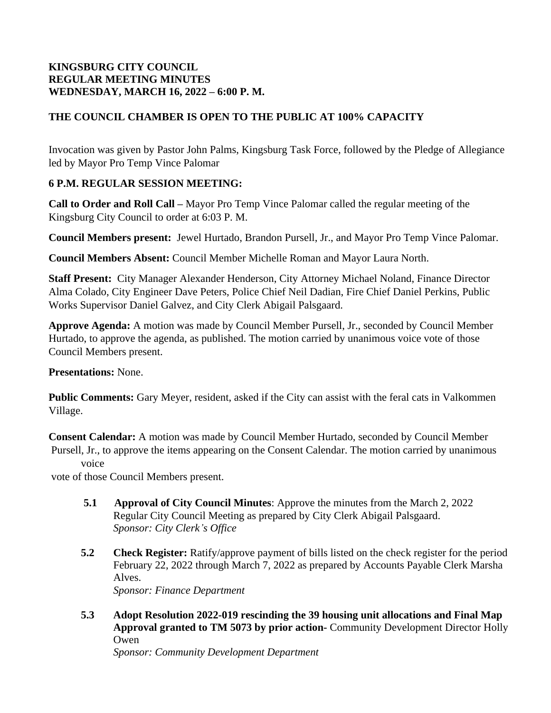## **KINGSBURG CITY COUNCIL REGULAR MEETING MINUTES WEDNESDAY, MARCH 16, 2022 – 6:00 P. M.**

# **THE COUNCIL CHAMBER IS OPEN TO THE PUBLIC AT 100% CAPACITY**

Invocation was given by Pastor John Palms, Kingsburg Task Force, followed by the Pledge of Allegiance led by Mayor Pro Temp Vince Palomar

## **6 P.M. REGULAR SESSION MEETING:**

**Call to Order and Roll Call –** Mayor Pro Temp Vince Palomar called the regular meeting of the Kingsburg City Council to order at 6:03 P. M.

**Council Members present:** Jewel Hurtado, Brandon Pursell, Jr., and Mayor Pro Temp Vince Palomar.

**Council Members Absent:** Council Member Michelle Roman and Mayor Laura North.

**Staff Present:** City Manager Alexander Henderson, City Attorney Michael Noland, Finance Director Alma Colado, City Engineer Dave Peters, Police Chief Neil Dadian, Fire Chief Daniel Perkins, Public Works Supervisor Daniel Galvez, and City Clerk Abigail Palsgaard.

**Approve Agenda:** A motion was made by Council Member Pursell, Jr., seconded by Council Member Hurtado, to approve the agenda, as published. The motion carried by unanimous voice vote of those Council Members present.

**Presentations:** None.

**Public Comments:** Gary Meyer, resident, asked if the City can assist with the feral cats in Valkommen Village.

**Consent Calendar:** A motion was made by Council Member Hurtado, seconded by Council Member Pursell, Jr., to approve the items appearing on the Consent Calendar. The motion carried by unanimous voice

vote of those Council Members present.

- **5.1 Approval of City Council Minutes**: Approve the minutes from the March 2, 2022 Regular City Council Meeting as prepared by City Clerk Abigail Palsgaard. *Sponsor: City Clerk's Office*
- **5.2 Check Register:** Ratify/approve payment of bills listed on the check register for the period February 22, 2022 through March 7, 2022 as prepared by Accounts Payable Clerk Marsha Alves. *Sponsor: Finance Department*
- **5.3 Adopt Resolution 2022-019 rescinding the 39 housing unit allocations and Final Map Approval granted to TM 5073 by prior action-** Community Development Director Holly Owen *Sponsor: Community Development Department*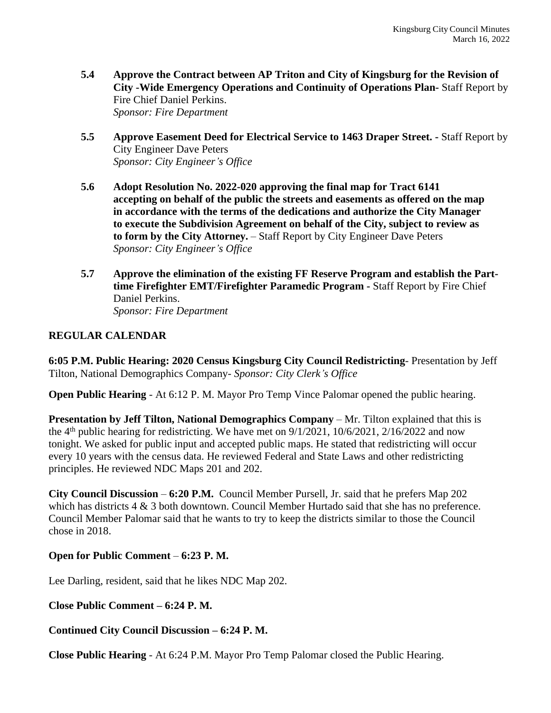- **5.4 Approve the Contract between AP Triton and City of Kingsburg for the Revision of City -Wide Emergency Operations and Continuity of Operations Plan-** Staff Report by Fire Chief Daniel Perkins. *Sponsor: Fire Department*
- **5.5 Approve Easement Deed for Electrical Service to 1463 Draper Street.** Staff Report by City Engineer Dave Peters *Sponsor: City Engineer's Office*
- **5.6 Adopt Resolution No. 2022-020 approving the final map for Tract 6141 accepting on behalf of the public the streets and easements as offered on the map in accordance with the terms of the dedications and authorize the City Manager to execute the Subdivision Agreement on behalf of the City, subject to review as to form by the City Attorney.** – Staff Report by City Engineer Dave Peters *Sponsor: City Engineer's Office*
- **5.7 Approve the elimination of the existing FF Reserve Program and establish the Parttime Firefighter EMT/Firefighter Paramedic Program -** Staff Report by Fire Chief Daniel Perkins. *Sponsor: Fire Department*

## **REGULAR CALENDAR**

**6:05 P.M. Public Hearing: 2020 Census Kingsburg City Council Redistricting**- Presentation by Jeff Tilton, National Demographics Company*- Sponsor: City Clerk's Office*

**Open Public Hearing** - At 6:12 P. M. Mayor Pro Temp Vince Palomar opened the public hearing.

**Presentation by Jeff Tilton, National Demographics Company** – Mr. Tilton explained that this is the  $4<sup>th</sup>$  public hearing for redistricting. We have met on  $9/1/2021$ ,  $10/6/2021$ ,  $2/16/2022$  and now tonight. We asked for public input and accepted public maps. He stated that redistricting will occur every 10 years with the census data. He reviewed Federal and State Laws and other redistricting principles. He reviewed NDC Maps 201 and 202.

**City Council Discussion** – **6:20 P.M.** Council Member Pursell, Jr. said that he prefers Map 202 which has districts 4 & 3 both downtown. Council Member Hurtado said that she has no preference. Council Member Palomar said that he wants to try to keep the districts similar to those the Council chose in 2018.

## **Open for Public Comment** – **6:23 P. M.**

Lee Darling, resident, said that he likes NDC Map 202.

**Close Public Comment – 6:24 P. M.**

**Continued City Council Discussion – 6:24 P. M.**

**Close Public Hearing** - At 6:24 P.M. Mayor Pro Temp Palomar closed the Public Hearing.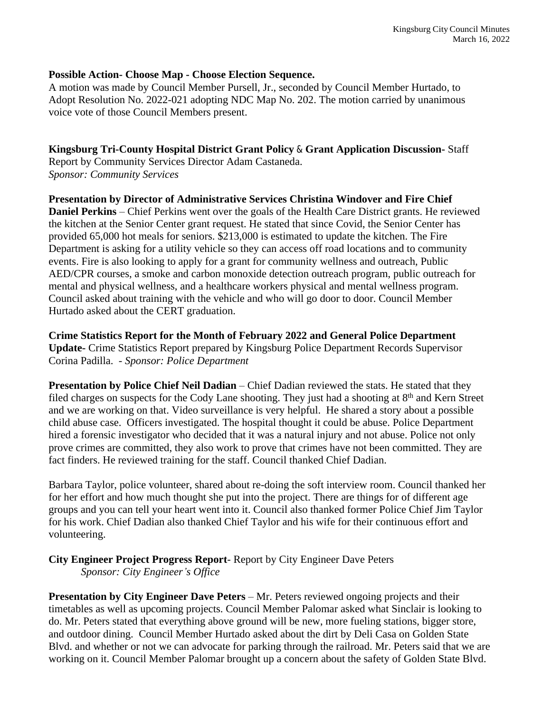#### **Possible Action- Choose Map - Choose Election Sequence.**

A motion was made by Council Member Pursell, Jr., seconded by Council Member Hurtado, to Adopt Resolution No. 2022-021 adopting NDC Map No. 202. The motion carried by unanimous voice vote of those Council Members present.

**Kingsburg Tri-County Hospital District Grant Policy** & **Grant Application Discussion-** Staff Report by Community Services Director Adam Castaneda. *Sponsor: Community Services*

**Presentation by Director of Administrative Services Christina Windover and Fire Chief Daniel Perkins** – Chief Perkins went over the goals of the Health Care District grants. He reviewed the kitchen at the Senior Center grant request. He stated that since Covid, the Senior Center has provided 65,000 hot meals for seniors. \$213,000 is estimated to update the kitchen. The Fire Department is asking for a utility vehicle so they can access off road locations and to community events. Fire is also looking to apply for a grant for community wellness and outreach, Public AED/CPR courses, a smoke and carbon monoxide detection outreach program, public outreach for mental and physical wellness, and a healthcare workers physical and mental wellness program. Council asked about training with the vehicle and who will go door to door. Council Member Hurtado asked about the CERT graduation.

**Crime Statistics Report for the Month of February 2022 and General Police Department Update-** Crime Statistics Report prepared by Kingsburg Police Department Records Supervisor Corina Padilla. - *Sponsor: Police Department*

**Presentation by Police Chief Neil Dadian** – Chief Dadian reviewed the stats. He stated that they filed charges on suspects for the Cody Lane shooting. They just had a shooting at 8<sup>th</sup> and Kern Street and we are working on that. Video surveillance is very helpful. He shared a story about a possible child abuse case. Officers investigated. The hospital thought it could be abuse. Police Department hired a forensic investigator who decided that it was a natural injury and not abuse. Police not only prove crimes are committed, they also work to prove that crimes have not been committed. They are fact finders. He reviewed training for the staff. Council thanked Chief Dadian.

Barbara Taylor, police volunteer, shared about re-doing the soft interview room. Council thanked her for her effort and how much thought she put into the project. There are things for of different age groups and you can tell your heart went into it. Council also thanked former Police Chief Jim Taylor for his work. Chief Dadian also thanked Chief Taylor and his wife for their continuous effort and volunteering.

#### **City Engineer Project Progress Report**- Report by City Engineer Dave Peters *Sponsor: City Engineer's Office*

**Presentation by City Engineer Dave Peters** – Mr. Peters reviewed ongoing projects and their timetables as well as upcoming projects. Council Member Palomar asked what Sinclair is looking to do. Mr. Peters stated that everything above ground will be new, more fueling stations, bigger store, and outdoor dining. Council Member Hurtado asked about the dirt by Deli Casa on Golden State Blvd. and whether or not we can advocate for parking through the railroad. Mr. Peters said that we are working on it. Council Member Palomar brought up a concern about the safety of Golden State Blvd.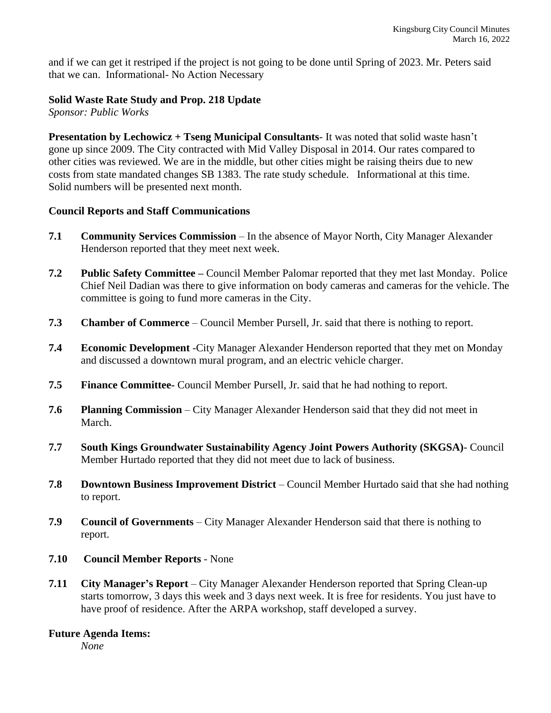and if we can get it restriped if the project is not going to be done until Spring of 2023. Mr. Peters said that we can. Informational- No Action Necessary

## **Solid Waste Rate Study and Prop. 218 Update**

*Sponsor: Public Works*

**Presentation by Lechowicz + Tseng Municipal Consultants**- It was noted that solid waste hasn't gone up since 2009. The City contracted with Mid Valley Disposal in 2014. Our rates compared to other cities was reviewed. We are in the middle, but other cities might be raising theirs due to new costs from state mandated changes SB 1383. The rate study schedule. Informational at this time. Solid numbers will be presented next month.

## **Council Reports and Staff Communications**

- **7.1 Community Services Commission** In the absence of Mayor North, City Manager Alexander Henderson reported that they meet next week.
- **7.2 Public Safety Committee –** Council Member Palomar reported that they met last Monday. Police Chief Neil Dadian was there to give information on body cameras and cameras for the vehicle. The committee is going to fund more cameras in the City.
- **7.3 Chamber of Commerce** Council Member Pursell, Jr. said that there is nothing to report.
- **7.4 Economic Development** -City Manager Alexander Henderson reported that they met on Monday and discussed a downtown mural program, and an electric vehicle charger.
- **7.5 Finance Committee-** Council Member Pursell, Jr. said that he had nothing to report.
- **7.6 Planning Commission** City Manager Alexander Henderson said that they did not meet in March.
- **7.7 South Kings Groundwater Sustainability Agency Joint Powers Authority (SKGSA)** Council Member Hurtado reported that they did not meet due to lack of business.
- **7.8 Downtown Business Improvement District** Council Member Hurtado said that she had nothing to report.
- **7.9 Council of Governments** City Manager Alexander Henderson said that there is nothing to report.
- **7.10 Council Member Reports**  None
- **7.11 City Manager's Report** City Manager Alexander Henderson reported that Spring Clean-up starts tomorrow, 3 days this week and 3 days next week. It is free for residents. You just have to have proof of residence. After the ARPA workshop, staff developed a survey.

## **Future Agenda Items:**

*None*